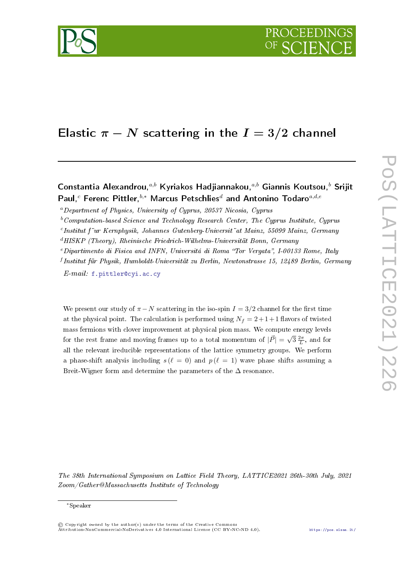

# Elastic  $\pi - N$  scattering in the  $I = 3/2$  channel

# Constantia Alexandrou,  $a,b$  Kyriakos Hadjiannakou,  $a,b$  Giannis Koutsou,  $b$  Srijit Paul,<sup>c</sup> Ferenc Pittler,<sup>b,\*</sup> Marcus Petschlies<sup>d</sup> and Antonino Todaro<sup>a,d,e</sup><br>
<sup>a</sup>Department of Physics, University of Cyprus, 20537 Nicosia, Cyprus<br>
<sup>b</sup>Computation-based Science and Technology Research Center, The Cyprus

 $a<sup>a</sup> Department of Physics, University of Currus, 20537 Nicolas, Currus$ 

 $b$ <sup>b</sup>Computation-based Science and Technology Research Center, The Cyprus Institute, Cyprus

"Institut f"ur Kernphysik, Johannes Gutenberg-Universit" at Mainz, 55099 Mainz, Germany

 $dHISKP$  (Theory), Rheinische Friedrich-Wilhelms-Universität Bonn, Germany

 $e$ Dipartimento di Fisica and INFN, Universitá di Roma "Tor Vergata", I-00133 Rome, Italy

f Institut für Physik, Humboldt-Universität zu Berlin, Newtonstrasse 15, 12489 Berlin, Germany

E-mail: [f.pittler@cyi.ac.cy](mailto:f.pittler@cyi.ac.cy)

We present our study of  $\pi - N$  scattering in the iso-spin  $I = 3/2$  channel for the first time at the physical point. The calculation is performed using  $N_f = 2 + 1 + 1$  flavors of twisted mass fermions with clover improvement at physical pion mass. We compute energy levels for the rest frame and moving frames up to a total momentum of  $|\vec{P}| = \sqrt{3} \frac{2\pi}{L}$ , and for all the relevant ireducible representations of the lattice symmetry groups. We perform a phase-shift analysis including  $s(\ell = 0)$  and  $p(\ell = 1)$  wave phase shifts assuming a Breit-Wigner form and determine the parameters of the  $\Delta$  resonance.

The 38th International Symposium on Lattice Field Theory, LATTICE2021 26th-30th July, 2021 Zoom/Gather@Massachusetts Institute of Technology

<sup>∗</sup>Speaker

<sup>©</sup> Copyright owned by the author(s) under the terms of the Creative Commons Attribution-NonCommercial-NoDerivatives 4.0 International License (CC BY-NC-ND 4.0). <https://pos.sissa.it/>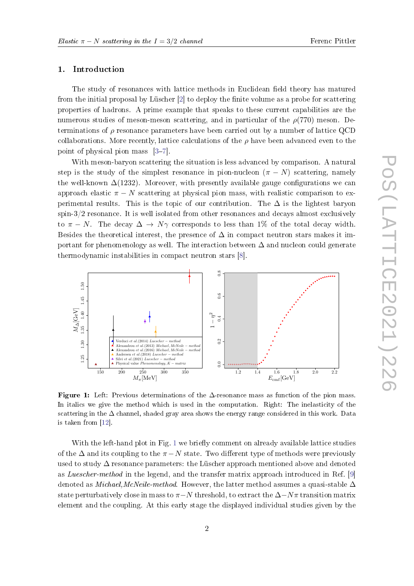## 1. Introduction

The study of resonances with lattice methods in Euclidean field theory has matured from the initial proposal by Lüscher  $[2]$  to deploy the finite volume as a probe for scattering properties of hadrons. A prime example that speaks to these current capabilities are the numerous studies of meson-meson scattering, and in particular of the  $\rho(770)$  meson. Determinations of  $\rho$  resonance parameters have been carried out by a number of lattice QCD collaborations. More recently, lattice calculations of the  $\rho$  have been advanced even to the point of physical pion mass  $[3-7]$  $[3-7]$  $[3-7]$ .

With meson-baryon scattering the situation is less advanced by comparison. A natural step is the study of the simplest resonance in pion-nucleon  $(\pi - N)$  scattering, namely the well-known  $\Delta(1232)$ . Moreover, with presently available gauge configurations we can approach elastic  $\pi - N$  scattering at physical pion mass, with realistic comparison to experimental results. This is the topic of our contribution. The  $\Delta$  is the lightest baryon spin-3/2 resonance. It is well isolated from other resonances and decays almost exclusively to  $\pi - N$ . The decay  $\Delta \rightarrow N\gamma$  corresponds to less than 1% of the total decay width. Besides the theoretical interest, the presence of  $\Delta$  in compact neutron stars makes it important for phenomenology as well. The interaction between  $\Delta$  and nucleon could generate thermodynamic instabilities in compact neutron stars [\[8\]](#page-8-1).

<span id="page-1-0"></span>

Figure 1: Left: Previous determinations of the  $\Delta$ -resonance mass as function of the pion mass. In italics we give the method which is used in the computation. Right: The inelasticity of the scattering in the  $\Delta$  channel, shaded gray area shows the energy range considered in this work. Data is taken from [\[12\]](#page-8-2).

With the left-hand plot in Fig. [1](#page-1-0) we briefly comment on already available lattice studies of the  $\Delta$  and its coupling to the  $\pi$  − N state. Two different type of methods were previously used to study  $\Delta$  resonance parameters: the Lüscher approach mentioned above and denoted as Luescher-method in the legend, and the transfer matrix approach introduced in Ref. [\[9\]](#page-8-3) denoted as *Michael,McNeile-method.* However, the latter method assumes a quasi-stable  $\Delta$ state perturbatively close in mass to  $\pi$ −N threshold, to extract the  $\Delta$ −Nπ transition matrix element and the coupling. At this early stage the displayed individual studies given by the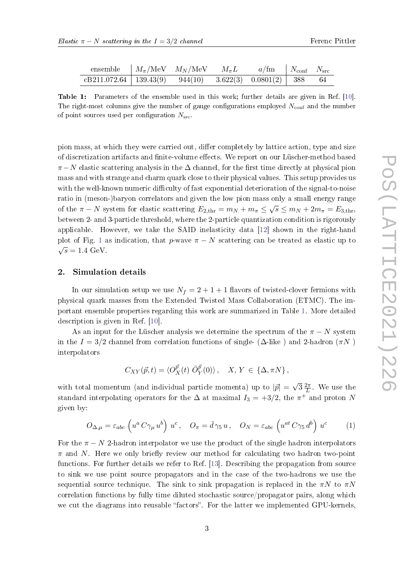<span id="page-2-0"></span>

| ensemble $M_{\pi}/\text{MeV}$ $M_N/\text{MeV}$ $M_{\pi}L$ $a/\text{fm}$ $N_{\text{conf}}$ $N_{\text{src}}$ |  |  |  |
|------------------------------------------------------------------------------------------------------------|--|--|--|
| $cB211.072.64$   139.43(9) 944(10) 3.622(3) 0.0801(2)   388 64                                             |  |  |  |

Table 1: Parameters of the ensemble used in this work; further details are given in Ref. [\[10\]](#page-8-4). The right-most columns give the number of gauge configurations employed  $N_{\text{conf}}$  and the number of point sources used per configuration  $N<sub>src</sub>$ 

pion mass, at which they were carried out, differ completely by lattice action, type and size of discretization artifacts and finite-volume effects. We report on our Lüscher-method based  $\pi$ −N elastic scattering analysis in the  $\Delta$  channel, for the first time directly at physical pion mass and with strange and charm quark close to their physical values. This setup provides us with the well-known numeric difficulty of fast exponential deterioration of the signal-to-noise ratio in (meson-)baryon correlators and given the low pion mass only a small energy range of the  $\pi - N$  system for elastic scattering  $E_{2,\text{thr}} = m_N + m_{\pi} \leq \sqrt{s} \leq m_N + 2m_{\pi} = E_{3,\text{thr}}$ , between 2- and 3-particle threshold, where the 2-particle quantization condition is rigorously applicable. However, we take the SAID inelasticity data [\[12\]](#page-8-2) shown in the right-hand plot of Fig. [1](#page-1-0) as indication, that p-wave  $\pi - N$  scattering can be treated as elastic up to  $\sqrt{s} = 1.4 \text{ GeV}.$ 

### 2. Simulation details

In our simulation setup we use  $N_f = 2 + 1 + 1$  flavors of twisted-clover fermions with physical quark masses from the Extended Twisted Mass Collaboration (ETMC). The important ensemble properties regarding this work are summarized in Table [1.](#page-2-0) More detailed description is given in Ref. [\[10\]](#page-8-4).

As an input for the Lüscher analysis we determine the spectrum of the  $\pi - N$  system in the  $I = 3/2$  channel from correlation functions of single- ( $\Delta$ -like) and 2-hadron ( $\pi N$ ) interpolators

$$
C_{XY}(\vec{p},t) = \langle O_X^{\vec{p}}(t) \ \bar{O}_Y^{\vec{p}}(0) \rangle \,, \quad X, Y \in \{\Delta, \pi N\} \,,
$$

with total momentum (and individual particle momenta) up to  $|\vec{p}| = \sqrt{3} \frac{2\pi}{L}$  $\frac{2\pi}{L}$ . We use the standard interpolating operators for the  $\Delta$  at maximal  $I_3 = +3/2$ , the  $\pi^+$  and proton N given by:

$$
O_{\Delta,\mu} = \varepsilon_{abc} \left( u^a C \gamma_\mu u^b \right) u^c, \quad O_\pi = \bar{d} \gamma_5 u, \quad O_N = \varepsilon_{abc} \left( u^{at} C \gamma_5 d^b \right) u^c \tag{1}
$$

For the  $\pi - N$  2-hadron interpolator we use the product of the single hadron interpolators  $\pi$  and N. Here we only briefly review our method for calculating two hadron two-point functions. For further details we refer to Ref. [\[13\]](#page-8-5). Describing the propagation from source to sink we use point source propagators and in the case of the two-hadrons we use the sequential source technique. The sink to sink propagation is replaced in the  $\pi N$  to  $\pi N$ correlation functions by fully time diluted stochastic source/propagator pairs, along which we cut the diagrams into reusable "factors". For the latter we implemented GPU-kernels,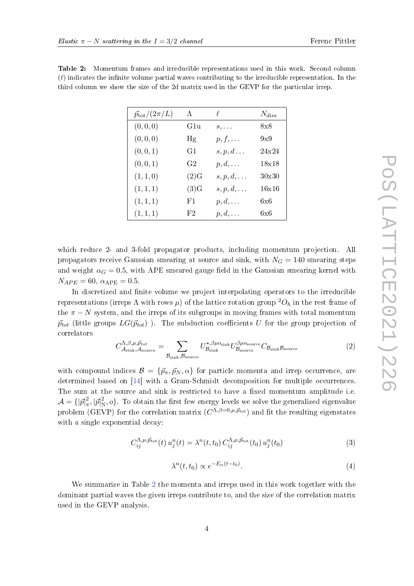| $\vec{p}_{\text{tot}}/(2\pi/L)$ | $\Lambda$      | $\ell$            | $N_{dim}$  |
|---------------------------------|----------------|-------------------|------------|
| (0, 0, 0)                       | G1u            | $s, \ldots$       | $8\times8$ |
| (0, 0, 0)                       | Hg             | $p, f, \ldots$    | 9x9        |
| (0, 0, 1)                       | G1             | $s, p, d \ldots$  | 24x24      |
| (0, 0, 1)                       | G <sub>2</sub> | $p, d, \ldots$    | 18x18      |
| (1, 1, 0)                       | (2)G           | $s, p, d, \ldots$ | 30x30      |
| (1, 1, 1)                       | (3)G           | $s, p, d, \ldots$ | 16x16      |
| (1, 1, 1)                       | F1.            | $p, d, \ldots$    | 6x6        |
| (1, 1, 1)                       | F2             | $p, d, \ldots$    | 6×6        |

<span id="page-3-0"></span>Table 2: Momentum frames and irreducible representations used in this work. Second column  $(\ell)$  indicates the infinite volume partial waves contributing to the irreducible representation. In the third column we show the size of the 2d matrix used in the GEVP for the particular irrep.

which reduce 2- and 3-fold propagator products, including momentum projection. All propagators receive Gaussian smearing at source and sink, with  $N<sub>G</sub> = 140$  smearing steps and weight  $\alpha_G = 0.5$ , with APE smeared gauge field in the Gaussian smearing kernel with  $N_{APE} = 60$ ,  $\alpha_{APE} = 0.5$ .

In discretized and finite volume we project interpolating operators to the irreducible representations (irreps  $\Lambda$  with rows  $\mu$ ) of the lattice rotation group  ${}^2O_h$  in the rest frame of the  $\pi - N$  system, and the irreps of its subgroups in moving frames with total momentum  $\vec{p}_{tot}$  (little groups  $LG(\vec{p}_{tot})$ ). The subduction coefficients U for the group projection of correlators

$$
C_{\mathcal{A}_{\text{sink}}, \mathcal{A}_{\text{source}}}^{\Lambda, \beta, \mu, \vec{p}_{tot}} = \sum_{\mathcal{B}_{\text{sink}}, \mathcal{B}_{\text{source}}} U_{\mathcal{B}_{\text{sink}}}^{\star, \beta, \mu o_{\text{sink}}} U_{\mathcal{B}_{\text{source}}}^{\beta, \mu o_{\text{source}}} C_{\mathcal{B}_{\text{sink}}} \mathcal{B}_{\text{source}}
$$
(2)

with compound indices  $\mathcal{B} = \{\vec{p}_{\pi}, \vec{p}_{N}, \alpha\}$  for particle momenta and irrep occurrence, are determined based on [\[14\]](#page-8-6) with a Gram-Schmidt decomposition for multiple occurrences. The sum at the source and sink is restricted to have a fixed momentum amplitude i.e.  $\mathcal{A} = \{ |\vec{p}|^2_{\pi}$  $\frac{2}{\pi}$ ,  $|\vec{p}|_{\rm N}^2$  $\mathcal{L}_{\text{N}}$ ,  $o$ }. To obtain the first few energy levels we solve the generalized eigenvalue problem (GEVP) for the correlation matrix  $(C^{\Lambda,\beta=0,\mu,\vec{p}_{tot}})$  and fit the resulting eigenstates with a single exponential decay:

$$
C_{ij}^{\Lambda,\mu,\vec{p}_{\text{tot}}}(t) u_j^n(t) = \lambda^n(t,t_0) C_{ij}^{\Lambda,\mu,\vec{p}_{\text{tot}}}(t_0) u_j^n(t_0)
$$
\n(3)

$$
\lambda^n(t, t_0) \propto e^{-E_n(t - t_0)}.\tag{4}
$$

We summarize in Table [2](#page-3-0) the momenta and irreps used in this work together with the dominant partial waves the given irreps contribute to, and the size of the correlation matrix used in the GEVP analysis.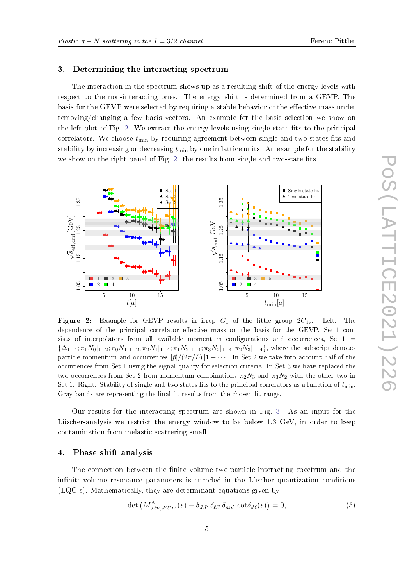#### 3. Determining the interacting spectrum

The interaction in the spectrum shows up as a resulting shift of the energy levels with respect to the non-interacting ones. The energy shift is determined from a GEVP. The basis for the GEVP were selected by requiring a stable behavior of the effective mass under removing/changing a few basis vectors. An example for the basis selection we show on the left plot of Fig. [2.](#page-4-0) We extract the energy levels using single state fits to the principal correlators. We choose  $t_{\text{min}}$  by requiring agreement between single and two-states fits and stability by increasing or decreasing  $t_{\text{min}}$  by one in lattice units. An example for the stability we show on the right panel of Fig. [2.](#page-4-0) the results from single and two-state fits.

<span id="page-4-0"></span>

**Figure 2:** Example for GEVP results in irrep  $G_1$  of the little group  $2C_{4v}$ . Left: The dependence of the principal correlator effective mass on the basis for the GEVP. Set  $1$  consists of interpolators from all available momentum configurations and occurrences, Set  $1 =$  ${\Delta_{1-4}; \pi_1 N_0|_{1-2}; \pi_0 N_1|_{1-2}, \pi_2 N_1|_{1-4}; \pi_1 N_2|_{1-4}; \pi_3 N_2|_{1-4}; \pi_2 N_3|_{1-4} }$ , where the subscript denotes particle momentum and occurrences  $|\vec{p}|/(2\pi/L)|1-\cdots$ . In Set 2 we take into account half of the occurrences from Set 1 using the signal quality for selection criteria. In Set 3 we have replaced the two occurrences from Set 2 from momentum combinations  $\pi_2N_3$  and  $\pi_3N_2$  with the other two in Set 1. Right: Stability of single and two states fits to the principal correlators as a function of  $t_{\min}$ . Gray bands are representing the final fit results from the chosen fit range.

Our results for the interacting spectrum are shown in Fig. [3.](#page-5-0) As an input for the Lüscher-analysis we restrict the energy window to be below 1.3 GeV, in order to keep contamination from inelastic scattering small.

#### 4. Phase shift analysis

The connection between the finite volume two-particle interacting spectrum and the infinite-volume resonance parameters is encoded in the Lüscher quantization conditions (LQC-s). Mathematically, they are determinant equations given by

<span id="page-4-1"></span>
$$
\det \left( M_{J\ell n,J'\ell'n'}^{\Lambda}(s) - \delta_{JJ'} \, \delta_{\ell \ell'} \, \delta_{nn'} \, \cot \delta_{J\ell}(s) \right) = 0, \tag{5}
$$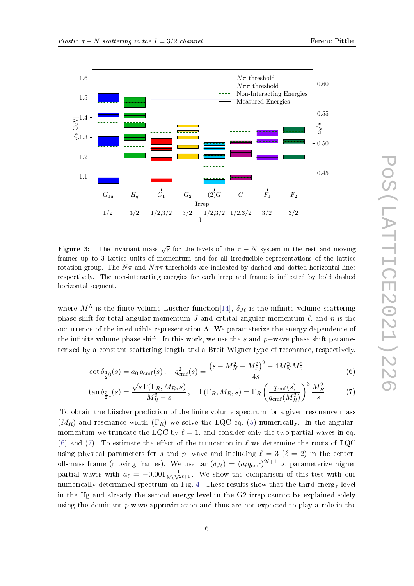

<span id="page-5-0"></span>

Figure 3: The invariant mass  $\sqrt{s}$  for the levels of the  $\pi - N$  system in the rest and moving frames up to 3 lattice units of momentum and for all irreducible representations of the lattice rotation group. The  $N\pi$  and  $N\pi\pi$  thresholds are indicated by dashed and dotted horizontal lines respectively. The non-interacting energies for each irrep and frame is indicated by bold dashed horizontal segment.

where  $M^{\Lambda}$  is the finite volume Lüscher function[\[14\]](#page-8-6),  $\delta_{J\ell}$  is the infinite volume scattering phase shift for total angular momentum J and orbital angular momentum  $\ell$ , and n is the occurrence of the irreducible representation  $\Lambda$ . We parameterize the energy dependence of the infinite volume phase shift. In this work, we use the s and p–wave phase shift parameterized by a constant scattering length and a Breit-Wigner type of resonance, respectively.

$$
\cot \delta_{\frac{1}{2}0}(s) = a_0 q_{\text{cmf}}(s), \quad q_{\text{cmf}}^2(s) = \frac{\left(s - M_N^2 - M_\pi^2\right)^2 - 4M_N^2 M_\pi^2}{4s} \tag{6}
$$

<span id="page-5-2"></span><span id="page-5-1"></span>
$$
\tan \delta_{\frac{3}{2}1}(s) = \frac{\sqrt{s} \Gamma(\Gamma_R, M_R, s)}{M_R^2 - s}, \quad \Gamma(\Gamma_R, M_R, s) = \Gamma_R \left(\frac{q_{\text{cmf}}(s)}{q_{\text{cmf}}(M_R^2)}\right)^3 \frac{M_R^2}{s} \tag{7}
$$

To obtain the Lüscher prediction of the finite volume spectrum for a given resonance mass  $(M_R)$  and resonance width  $(\Gamma_R)$  we solve the LQC eq. [\(5\)](#page-4-1) numerically. In the angularmomentum we truncate the LQC by  $\ell = 1$ , and consider only the two partial waves in eq. [\(6\)](#page-5-1) and [\(7\)](#page-5-2). To estimate the effect of the truncation in  $\ell$  we determine the roots of LQC using physical parameters for s and p–wave and including  $\ell = 3$  ( $\ell = 2$ ) in the centeroff-mass frame (moving frames). We use  $\tan{(\delta_{J\ell})} = (a_\ell q_{\rm cmf})^{2\ell+1}$  to parameterize higher partial waves with  $a_{\ell} = -0.001 \frac{1}{\text{MeV}^{2\ell+1}}$ . We show the comparison of this test with our numerically determined spectrum on Fig. [4.](#page-6-0) These results show that the third energy level in the Hg and already the second energy level in the G2 irrep cannot be explained solely using the dominant p-wave approximation and thus are not expected to play a role in the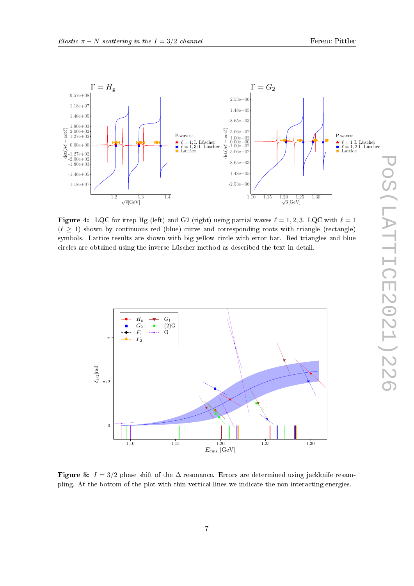<span id="page-6-0"></span>

**Figure 4:** LQC for irrep Hg (left) and G2 (right) using partial waves  $\ell = 1, 2, 3$ . LQC with  $\ell = 1$  $(\ell \geq 1)$  shown by continuous red (blue) curve and corresponding roots with triangle (rectangle) symbols. Lattice results are shown with big yellow circle with error bar. Red triangles and blue circles are obtained using the inverse Lüscher method as described the text in detail.

<span id="page-6-1"></span>

Figure 5:  $I = 3/2$  phase shift of the  $\Delta$  resonance. Errors are determined using jackknife resampling. At the bottom of the plot with thin vertical lines we indicate the non-interacting energies.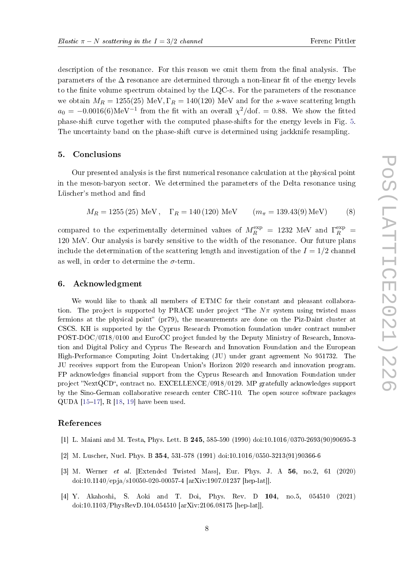description of the resonance. For this reason we omit them from the final analysis. The parameters of the  $\Delta$  resonance are determined through a non-linear fit of the energy levels to the finite volume spectrum obtained by the  $LQC$ -s. For the parameters of the resonance we obtain  $M_R = 1255(25)$  MeV,  $\Gamma_R = 140(120)$  MeV and for the s-wave scattering length  $a_0 = -0.0016(6) \text{MeV}^{-1}$  from the fit with an overall  $\chi^2/\text{dof.} = 0.88$ . We show the fitted phase-shift curve together with the computed phase-shifts for the energy levels in Fig. [5.](#page-6-1) The uncertainty band on the phase-shift curve is determined using jackknife resampling.

#### 5. Conclusions

Our presented analysis is the first numerical resonance calculation at the physical point in the meson-baryon sector. We determined the parameters of the Delta resonance using Lüscher's method and find

$$
M_R = 1255 (25)
$$
 MeV,  $\Gamma_R = 140 (120)$  MeV  $(m_{\pi} = 139.43(9)$  MeV) (8)

compared to the experimentally determined values of  $M_R^{\rm exp}\ =\ 1232\,$  MeV and  $\Gamma_R^{\rm exp}\ =\ 1232$ 120 MeV. Our analysis is barely sensitive to the width of the resonance. Our future plans include the determination of the scattering length and investigation of the  $I = 1/2$  channel as well, in order to determine the  $\sigma$ -term.

#### 6. Acknowledgment

We would like to thank all members of ETMC for their constant and pleasant collaboration. The project is supported by PRACE under project "The  $N_{\pi}$  system using twisted mass fermions at the physical point" (pr79), the measurements are done on the Piz-Daint cluster at CSCS. KH is supported by the Cyprus Research Promotion foundation under contract number POST-DOC/0718/0100 and EuroCC project funded by the Deputy Ministry of Research, Innovation and Digital Policy and Cyprus The Research and Innovation Foundation and the European High-Performance Computing Joint Undertaking (JU) under grant agreement No 951732. The JU receives support from the European Union's Horizon 2020 research and innovation program. FP acknowledges financial support from the Cyprus Research and Innovation Foundation under project "NextQCD", contract no. EXCELLENCE/0918/0129. MP gratefully acknowledges support by the Sino-German collaborative research center CRC-110. The open source software packages QUDA  $[15-17]$  $[15-17]$  $[15-17]$ , R  $[18, 19]$  $[18, 19]$  $[18, 19]$  have been used.

#### References

- [1] L. Maiani and M. Testa, Phys. Lett. B 245, 585-590 (1990) doi:10.1016/0370-2693(90)90695-3
- <span id="page-7-0"></span>[2] M. Luscher, Nucl. Phys. B 354, 531-578 (1991) doi:10.1016/0550-3213(91)90366-6
- <span id="page-7-1"></span>[3] M. Werner et al. [Extended Twisted Mass], Eur. Phys. J. A 56, no.2, 61 (2020) doi:10.1140/epja/s10050-020-00057-4 [arXiv:1907.01237 [hep-lat]].
- [4] Y. Akahoshi, S. Aoki and T. Doi, Phys. Rev. D 104, no.5, 054510 (2021) doi:10.1103/PhysRevD.104.054510 [arXiv:2106.08175 [hep-lat]].